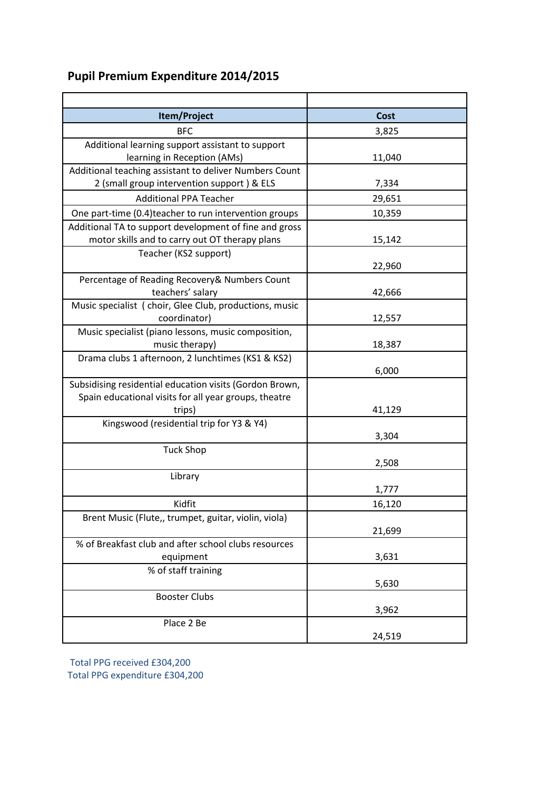## **Pupil Premium Expenditure 2014/2015**

| Item/Project                                            | Cost   |  |  |
|---------------------------------------------------------|--------|--|--|
| BFC                                                     | 3,825  |  |  |
| Additional learning support assistant to support        |        |  |  |
| learning in Reception (AMs)                             | 11,040 |  |  |
| Additional teaching assistant to deliver Numbers Count  |        |  |  |
| 2 (small group intervention support) & ELS              | 7,334  |  |  |
| <b>Additional PPA Teacher</b>                           | 29,651 |  |  |
| One part-time (0.4) teacher to run intervention groups  | 10,359 |  |  |
| Additional TA to support development of fine and gross  |        |  |  |
| motor skills and to carry out OT therapy plans          | 15,142 |  |  |
| Teacher (KS2 support)                                   |        |  |  |
|                                                         | 22,960 |  |  |
| Percentage of Reading Recovery& Numbers Count           |        |  |  |
| teachers' salary                                        | 42,666 |  |  |
| Music specialist ( choir, Glee Club, productions, music |        |  |  |
| coordinator)                                            | 12,557 |  |  |
| Music specialist (piano lessons, music composition,     |        |  |  |
| music therapy)                                          | 18,387 |  |  |
| Drama clubs 1 afternoon, 2 lunchtimes (KS1 & KS2)       | 6,000  |  |  |
| Subsidising residential education visits (Gordon Brown, |        |  |  |
| Spain educational visits for all year groups, theatre   |        |  |  |
| trips)                                                  | 41,129 |  |  |
| Kingswood (residential trip for Y3 & Y4)                |        |  |  |
|                                                         | 3,304  |  |  |
| <b>Tuck Shop</b>                                        |        |  |  |
|                                                         | 2,508  |  |  |
| Library                                                 |        |  |  |
|                                                         | 1,777  |  |  |
| Kidfit                                                  | 16,120 |  |  |
| Brent Music (Flute,, trumpet, guitar, violin, viola)    |        |  |  |
|                                                         | 21,699 |  |  |
| % of Breakfast club and after school clubs resources    |        |  |  |
| equipment                                               | 3,631  |  |  |
| % of staff training                                     |        |  |  |
|                                                         | 5,630  |  |  |
| <b>Booster Clubs</b>                                    |        |  |  |
|                                                         | 3,962  |  |  |
| Place 2 Be                                              |        |  |  |
|                                                         | 24,519 |  |  |

Total PPG received £304,200 Total PPG expenditure £304,200